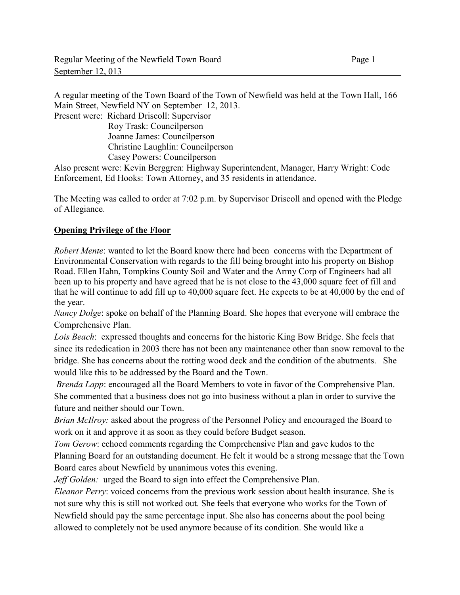A regular meeting of the Town Board of the Town of Newfield was held at the Town Hall, 166 Main Street, Newfield NY on September 12, 2013.

Present were: Richard Driscoll: Supervisor

 Roy Trask: Councilperson Joanne James: Councilperson Christine Laughlin: Councilperson Casey Powers: Councilperson

Also present were: Kevin Berggren: Highway Superintendent, Manager, Harry Wright: Code Enforcement, Ed Hooks: Town Attorney, and 35 residents in attendance.

The Meeting was called to order at 7:02 p.m. by Supervisor Driscoll and opened with the Pledge of Allegiance.

### **Opening Privilege of the Floor**

*Robert Mente*: wanted to let the Board know there had been concerns with the Department of Environmental Conservation with regards to the fill being brought into his property on Bishop Road. Ellen Hahn, Tompkins County Soil and Water and the Army Corp of Engineers had all been up to his property and have agreed that he is not close to the 43,000 square feet of fill and that he will continue to add fill up to 40,000 square feet. He expects to be at 40,000 by the end of the year.

*Nancy Dolge*: spoke on behalf of the Planning Board. She hopes that everyone will embrace the Comprehensive Plan.

*Lois Beach*: expressed thoughts and concerns for the historic King Bow Bridge. She feels that since its rededication in 2003 there has not been any maintenance other than snow removal to the bridge. She has concerns about the rotting wood deck and the condition of the abutments. She would like this to be addressed by the Board and the Town.

*Brenda Lapp*: encouraged all the Board Members to vote in favor of the Comprehensive Plan. She commented that a business does not go into business without a plan in order to survive the future and neither should our Town.

*Brian McIlroy:* asked about the progress of the Personnel Policy and encouraged the Board to work on it and approve it as soon as they could before Budget season.

*Tom Gerow*: echoed comments regarding the Comprehensive Plan and gave kudos to the Planning Board for an outstanding document. He felt it would be a strong message that the Town Board cares about Newfield by unanimous votes this evening.

*Jeff Golden:* urged the Board to sign into effect the Comprehensive Plan.

*Eleanor Perry*: voiced concerns from the previous work session about health insurance. She is not sure why this is still not worked out. She feels that everyone who works for the Town of Newfield should pay the same percentage input. She also has concerns about the pool being allowed to completely not be used anymore because of its condition. She would like a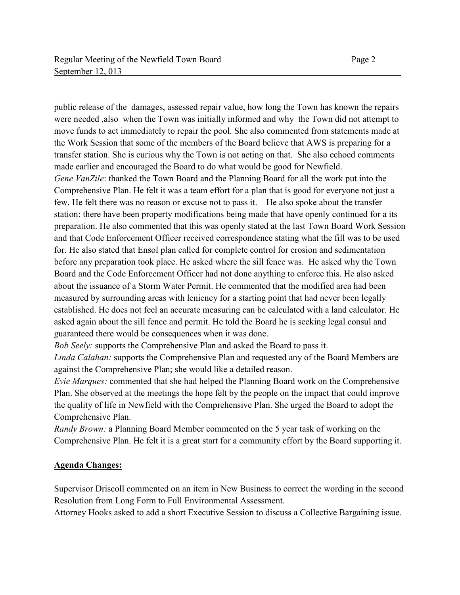public release of the damages, assessed repair value, how long the Town has known the repairs were needed ,also when the Town was initially informed and why the Town did not attempt to move funds to act immediately to repair the pool. She also commented from statements made at the Work Session that some of the members of the Board believe that AWS is preparing for a transfer station. She is curious why the Town is not acting on that. She also echoed comments made earlier and encouraged the Board to do what would be good for Newfield. *Gene VanZile*: thanked the Town Board and the Planning Board for all the work put into the Comprehensive Plan. He felt it was a team effort for a plan that is good for everyone not just a few. He felt there was no reason or excuse not to pass it. He also spoke about the transfer station: there have been property modifications being made that have openly continued for a its preparation. He also commented that this was openly stated at the last Town Board Work Session and that Code Enforcement Officer received correspondence stating what the fill was to be used for. He also stated that Ensol plan called for complete control for erosion and sedimentation before any preparation took place. He asked where the sill fence was. He asked why the Town Board and the Code Enforcement Officer had not done anything to enforce this. He also asked about the issuance of a Storm Water Permit. He commented that the modified area had been measured by surrounding areas with leniency for a starting point that had never been legally established. He does not feel an accurate measuring can be calculated with a land calculator. He asked again about the sill fence and permit. He told the Board he is seeking legal consul and

guaranteed there would be consequences when it was done.

*Bob Seely:* supports the Comprehensive Plan and asked the Board to pass it.

*Linda Calahan:* supports the Comprehensive Plan and requested any of the Board Members are against the Comprehensive Plan; she would like a detailed reason.

*Evie Marques:* commented that she had helped the Planning Board work on the Comprehensive Plan. She observed at the meetings the hope felt by the people on the impact that could improve the quality of life in Newfield with the Comprehensive Plan. She urged the Board to adopt the Comprehensive Plan.

*Randy Brown:* a Planning Board Member commented on the 5 year task of working on the Comprehensive Plan. He felt it is a great start for a community effort by the Board supporting it.

### **Agenda Changes:**

Supervisor Driscoll commented on an item in New Business to correct the wording in the second Resolution from Long Form to Full Environmental Assessment.

Attorney Hooks asked to add a short Executive Session to discuss a Collective Bargaining issue.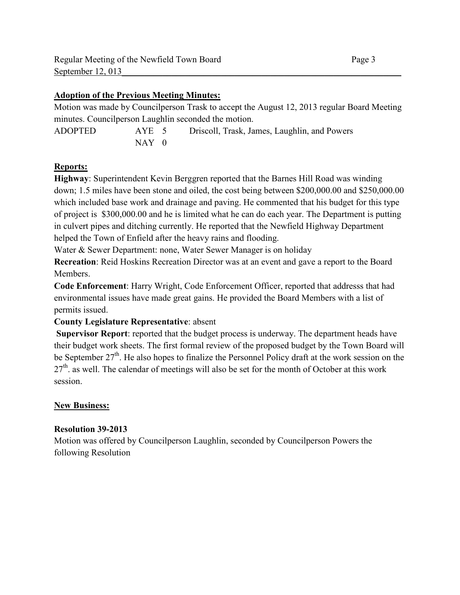### **Adoption of the Previous Meeting Minutes:**

Motion was made by Councilperson Trask to accept the August 12, 2013 regular Board Meeting minutes. Councilperson Laughlin seconded the motion.

ADOPTED AYE 5 Driscoll, Trask, James, Laughlin, and Powers  $NAY$  0

### **Reports:**

**Highway**: Superintendent Kevin Berggren reported that the Barnes Hill Road was winding down; 1.5 miles have been stone and oiled, the cost being between \$200,000.00 and \$250,000.00 which included base work and drainage and paving. He commented that his budget for this type of project is \$300,000.00 and he is limited what he can do each year. The Department is putting in culvert pipes and ditching currently. He reported that the Newfield Highway Department helped the Town of Enfield after the heavy rains and flooding.

Water & Sewer Department: none, Water Sewer Manager is on holiday

**Recreation**: Reid Hoskins Recreation Director was at an event and gave a report to the Board Members.

**Code Enforcement**: Harry Wright, Code Enforcement Officer, reported that addresss that had environmental issues have made great gains. He provided the Board Members with a list of permits issued.

### **County Legislature Representative**: absent

**Supervisor Report**: reported that the budget process is underway. The department heads have their budget work sheets. The first formal review of the proposed budget by the Town Board will be September  $27<sup>th</sup>$ . He also hopes to finalize the Personnel Policy draft at the work session on the  $27<sup>th</sup>$  as well. The calendar of meetings will also be set for the month of October at this work session.

### **New Business:**

### **Resolution 39-2013**

Motion was offered by Councilperson Laughlin, seconded by Councilperson Powers the following Resolution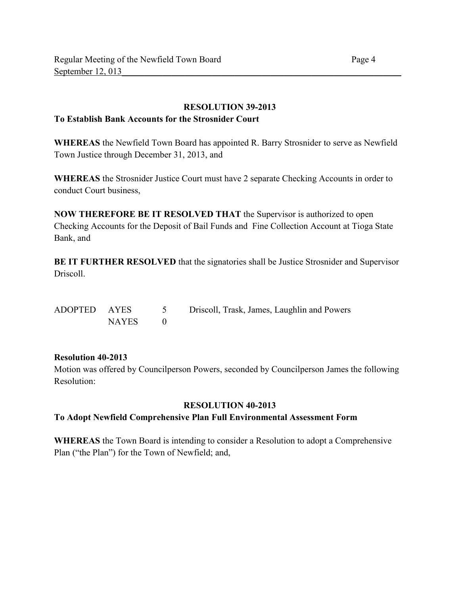### **RESOLUTION 39-2013**

## **To Establish Bank Accounts for the Strosnider Court**

**WHEREAS** the Newfield Town Board has appointed R. Barry Strosnider to serve as Newfield Town Justice through December 31, 2013, and

**WHEREAS** the Strosnider Justice Court must have 2 separate Checking Accounts in order to conduct Court business,

**NOW THEREFORE BE IT RESOLVED THAT** the Supervisor is authorized to open Checking Accounts for the Deposit of Bail Funds and Fine Collection Account at Tioga State Bank, and

**BE IT FURTHER RESOLVED** that the signatories shall be Justice Strosnider and Supervisor Driscoll.

| ADOPTED AYES |       | Driscoll, Trask, James, Laughlin and Powers |
|--------------|-------|---------------------------------------------|
|              | NAYES |                                             |

### **Resolution 40-2013**

Motion was offered by Councilperson Powers, seconded by Councilperson James the following Resolution:

### **RESOLUTION 40-2013**

### **To Adopt Newfield Comprehensive Plan Full Environmental Assessment Form**

**WHEREAS** the Town Board is intending to consider a Resolution to adopt a Comprehensive Plan ("the Plan") for the Town of Newfield; and,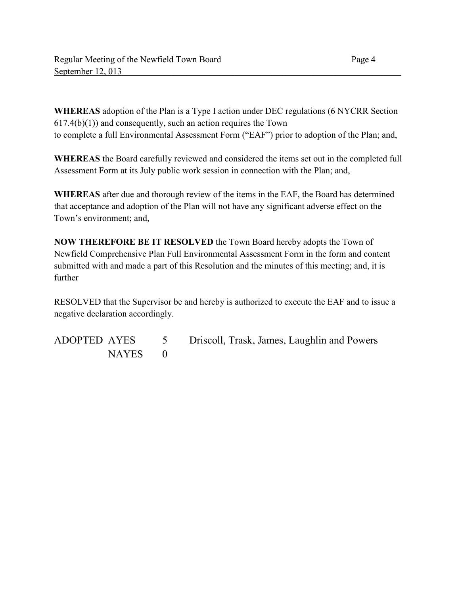**WHEREAS** adoption of the Plan is a Type I action under DEC regulations (6 NYCRR Section  $617.4(b)(1)$  and consequently, such an action requires the Town to complete a full Environmental Assessment Form ("EAF") prior to adoption of the Plan; and,

**WHEREAS** the Board carefully reviewed and considered the items set out in the completed full Assessment Form at its July public work session in connection with the Plan; and,

**WHEREAS** after due and thorough review of the items in the EAF, the Board has determined that acceptance and adoption of the Plan will not have any significant adverse effect on the Town's environment; and,

**NOW THEREFORE BE IT RESOLVED** the Town Board hereby adopts the Town of Newfield Comprehensive Plan Full Environmental Assessment Form in the form and content submitted with and made a part of this Resolution and the minutes of this meeting; and, it is further

RESOLVED that the Supervisor be and hereby is authorized to execute the EAF and to issue a negative declaration accordingly.

ADOPTED AYES 5 Driscoll, Trask, James, Laughlin and Powers NAYES 0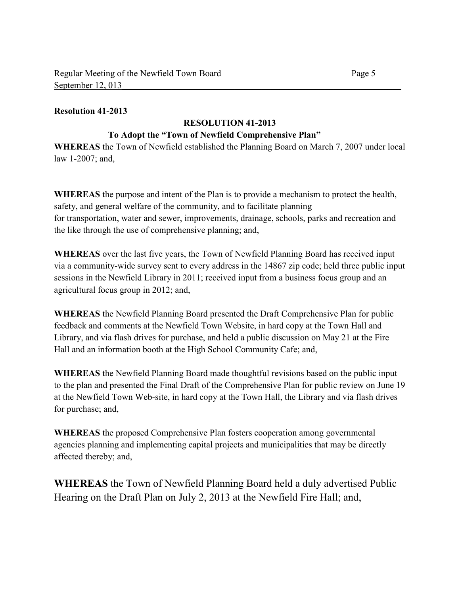### **Resolution 41-2013**

# **RESOLUTION 41-2013**

### **To Adopt the "Town of Newfield Comprehensive Plan"**

**WHEREAS** the Town of Newfield established the Planning Board on March 7, 2007 under local law 1-2007; and,

**WHEREAS** the purpose and intent of the Plan is to provide a mechanism to protect the health, safety, and general welfare of the community, and to facilitate planning for transportation, water and sewer, improvements, drainage, schools, parks and recreation and the like through the use of comprehensive planning; and,

**WHEREAS** over the last five years, the Town of Newfield Planning Board has received input via a community-wide survey sent to every address in the 14867 zip code; held three public input sessions in the Newfield Library in 2011; received input from a business focus group and an agricultural focus group in 2012; and,

**WHEREAS** the Newfield Planning Board presented the Draft Comprehensive Plan for public feedback and comments at the Newfield Town Website, in hard copy at the Town Hall and Library, and via flash drives for purchase, and held a public discussion on May 21 at the Fire Hall and an information booth at the High School Community Cafe; and,

**WHEREAS** the Newfield Planning Board made thoughtful revisions based on the public input to the plan and presented the Final Draft of the Comprehensive Plan for public review on June 19 at the Newfield Town Web-site, in hard copy at the Town Hall, the Library and via flash drives for purchase; and,

**WHEREAS** the proposed Comprehensive Plan fosters cooperation among governmental agencies planning and implementing capital projects and municipalities that may be directly affected thereby; and,

**WHEREAS** the Town of Newfield Planning Board held a duly advertised Public Hearing on the Draft Plan on July 2, 2013 at the Newfield Fire Hall; and,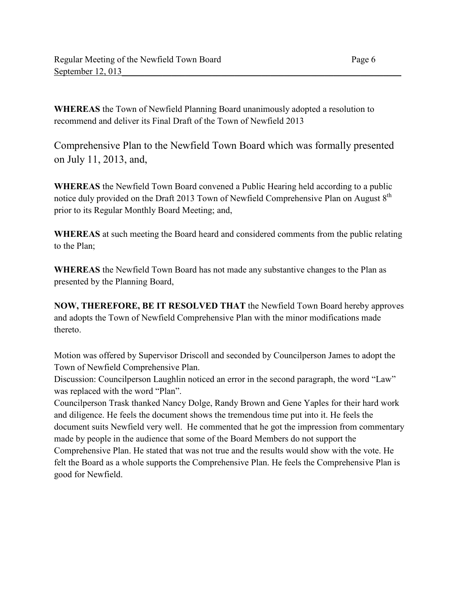**WHEREAS** the Town of Newfield Planning Board unanimously adopted a resolution to recommend and deliver its Final Draft of the Town of Newfield 2013

Comprehensive Plan to the Newfield Town Board which was formally presented on July 11, 2013, and,

**WHEREAS** the Newfield Town Board convened a Public Hearing held according to a public notice duly provided on the Draft 2013 Town of Newfield Comprehensive Plan on August  $8<sup>th</sup>$ prior to its Regular Monthly Board Meeting; and,

**WHEREAS** at such meeting the Board heard and considered comments from the public relating to the Plan;

**WHEREAS** the Newfield Town Board has not made any substantive changes to the Plan as presented by the Planning Board,

**NOW, THEREFORE, BE IT RESOLVED THAT** the Newfield Town Board hereby approves and adopts the Town of Newfield Comprehensive Plan with the minor modifications made thereto.

Motion was offered by Supervisor Driscoll and seconded by Councilperson James to adopt the Town of Newfield Comprehensive Plan.

Discussion: Councilperson Laughlin noticed an error in the second paragraph, the word "Law" was replaced with the word "Plan".

Councilperson Trask thanked Nancy Dolge, Randy Brown and Gene Yaples for their hard work and diligence. He feels the document shows the tremendous time put into it. He feels the document suits Newfield very well. He commented that he got the impression from commentary made by people in the audience that some of the Board Members do not support the Comprehensive Plan. He stated that was not true and the results would show with the vote. He felt the Board as a whole supports the Comprehensive Plan. He feels the Comprehensive Plan is good for Newfield.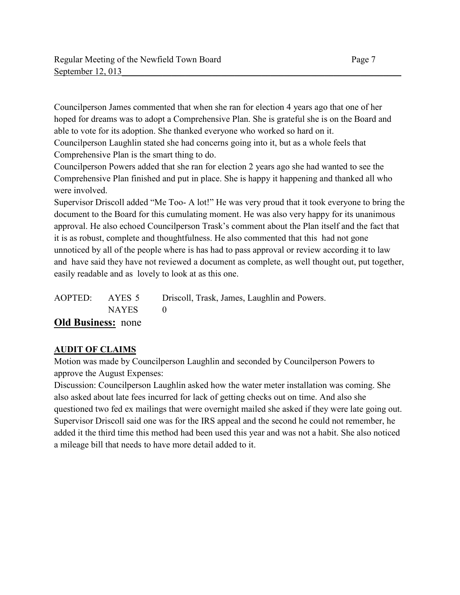Councilperson James commented that when she ran for election 4 years ago that one of her hoped for dreams was to adopt a Comprehensive Plan. She is grateful she is on the Board and able to vote for its adoption. She thanked everyone who worked so hard on it.

Councilperson Laughlin stated she had concerns going into it, but as a whole feels that Comprehensive Plan is the smart thing to do.

Councilperson Powers added that she ran for election 2 years ago she had wanted to see the Comprehensive Plan finished and put in place. She is happy it happening and thanked all who were involved.

Supervisor Driscoll added "Me Too- A lot!" He was very proud that it took everyone to bring the document to the Board for this cumulating moment. He was also very happy for its unanimous approval. He also echoed Councilperson Trask's comment about the Plan itself and the fact that it is as robust, complete and thoughtfulness. He also commented that this had not gone unnoticed by all of the people where is has had to pass approval or review according it to law and have said they have not reviewed a document as complete, as well thought out, put together, easily readable and as lovely to look at as this one.

| AOPTED: AYES 5            | Driscoll, Trask, James, Laughlin and Powers. |
|---------------------------|----------------------------------------------|
| <b>NAYES</b>              |                                              |
| <b>Old Business:</b> none |                                              |

# **AUDIT OF CLAIMS**

Motion was made by Councilperson Laughlin and seconded by Councilperson Powers to approve the August Expenses:

Discussion: Councilperson Laughlin asked how the water meter installation was coming. She also asked about late fees incurred for lack of getting checks out on time. And also she questioned two fed ex mailings that were overnight mailed she asked if they were late going out. Supervisor Driscoll said one was for the IRS appeal and the second he could not remember, he added it the third time this method had been used this year and was not a habit. She also noticed a mileage bill that needs to have more detail added to it.